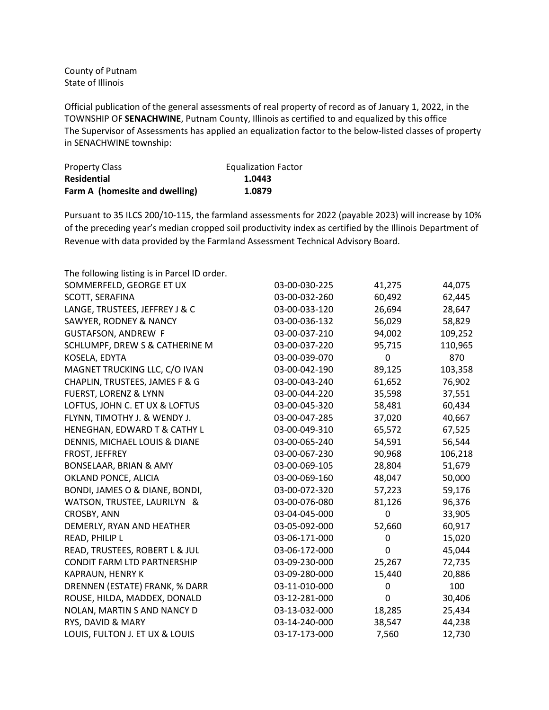County of Putnam State of Illinois

Official publication of the general assessments of real property of record as of January 1, 2022, in the TOWNSHIP OF **SENACHWINE**, Putnam County, Illinois as certified to and equalized by this office The Supervisor of Assessments has applied an equalization factor to the below-listed classes of property in SENACHWINE township:

| <b>Property Class</b>          | <b>Equalization Factor</b> |
|--------------------------------|----------------------------|
| <b>Residential</b>             | 1.0443                     |
| Farm A (homesite and dwelling) | 1.0879                     |

Pursuant to 35 ILCS 200/10-115, the farmland assessments for 2022 (payable 2023) will increase by 10% of the preceding year's median cropped soil productivity index as certified by the Illinois Department of Revenue with data provided by the Farmland Assessment Technical Advisory Board.

| The following listing is in Parcel ID order. |               |        |         |
|----------------------------------------------|---------------|--------|---------|
| SOMMERFELD, GEORGE ET UX                     | 03-00-030-225 | 41,275 | 44,075  |
| SCOTT, SERAFINA                              | 03-00-032-260 | 60,492 | 62,445  |
| LANGE, TRUSTEES, JEFFREY J & C               | 03-00-033-120 | 26,694 | 28,647  |
| SAWYER, RODNEY & NANCY                       | 03-00-036-132 | 56,029 | 58,829  |
| <b>GUSTAFSON, ANDREW F</b>                   | 03-00-037-210 | 94,002 | 109,252 |
| SCHLUMPF, DREW S & CATHERINE M               | 03-00-037-220 | 95,715 | 110,965 |
| KOSELA, EDYTA                                | 03-00-039-070 | 0      | 870     |
| MAGNET TRUCKING LLC, C/O IVAN                | 03-00-042-190 | 89,125 | 103,358 |
| CHAPLIN, TRUSTEES, JAMES F & G               | 03-00-043-240 | 61,652 | 76,902  |
| <b>FUERST, LORENZ &amp; LYNN</b>             | 03-00-044-220 | 35,598 | 37,551  |
| LOFTUS, JOHN C. ET UX & LOFTUS               | 03-00-045-320 | 58,481 | 60,434  |
| FLYNN, TIMOTHY J. & WENDY J.                 | 03-00-047-285 | 37,020 | 40,667  |
| HENEGHAN, EDWARD T & CATHY L                 | 03-00-049-310 | 65,572 | 67,525  |
| DENNIS, MICHAEL LOUIS & DIANE                | 03-00-065-240 | 54,591 | 56,544  |
| FROST, JEFFREY                               | 03-00-067-230 | 90,968 | 106,218 |
| BONSELAAR, BRIAN & AMY                       | 03-00-069-105 | 28,804 | 51,679  |
| OKLAND PONCE, ALICIA                         | 03-00-069-160 | 48,047 | 50,000  |
| BONDI, JAMES O & DIANE, BONDI,               | 03-00-072-320 | 57,223 | 59,176  |
| WATSON, TRUSTEE, LAURILYN &                  | 03-00-076-080 | 81,126 | 96,376  |
| CROSBY, ANN                                  | 03-04-045-000 | 0      | 33,905  |
| DEMERLY, RYAN AND HEATHER                    | 03-05-092-000 | 52,660 | 60,917  |
| READ, PHILIP L                               | 03-06-171-000 | 0      | 15,020  |
| READ, TRUSTEES, ROBERT L & JUL               | 03-06-172-000 | 0      | 45,044  |
| <b>CONDIT FARM LTD PARTNERSHIP</b>           | 03-09-230-000 | 25,267 | 72,735  |
| KAPRAUN, HENRY K                             | 03-09-280-000 | 15,440 | 20,886  |
| DRENNEN (ESTATE) FRANK, % DARR               | 03-11-010-000 | 0      | 100     |
| ROUSE, HILDA, MADDEX, DONALD                 | 03-12-281-000 | 0      | 30,406  |
| NOLAN, MARTIN S AND NANCY D                  | 03-13-032-000 | 18,285 | 25,434  |
| RYS, DAVID & MARY                            | 03-14-240-000 | 38,547 | 44,238  |
| LOUIS, FULTON J. ET UX & LOUIS               | 03-17-173-000 | 7,560  | 12,730  |
|                                              |               |        |         |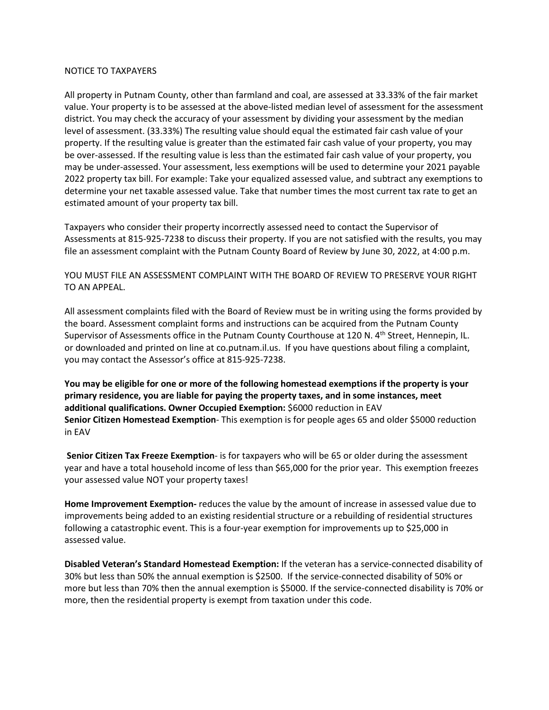## NOTICE TO TAXPAYERS

All property in Putnam County, other than farmland and coal, are assessed at 33.33% of the fair market value. Your property is to be assessed at the above-listed median level of assessment for the assessment district. You may check the accuracy of your assessment by dividing your assessment by the median level of assessment. (33.33%) The resulting value should equal the estimated fair cash value of your property. If the resulting value is greater than the estimated fair cash value of your property, you may be over-assessed. If the resulting value is less than the estimated fair cash value of your property, you may be under-assessed. Your assessment, less exemptions will be used to determine your 2021 payable 2022 property tax bill. For example: Take your equalized assessed value, and subtract any exemptions to determine your net taxable assessed value. Take that number times the most current tax rate to get an estimated amount of your property tax bill.

Taxpayers who consider their property incorrectly assessed need to contact the Supervisor of Assessments at 815-925-7238 to discuss their property. If you are not satisfied with the results, you may file an assessment complaint with the Putnam County Board of Review by June 30, 2022, at 4:00 p.m.

YOU MUST FILE AN ASSESSMENT COMPLAINT WITH THE BOARD OF REVIEW TO PRESERVE YOUR RIGHT TO AN APPEAL.

All assessment complaints filed with the Board of Review must be in writing using the forms provided by the board. Assessment complaint forms and instructions can be acquired from the Putnam County Supervisor of Assessments office in the Putnam County Courthouse at 120 N. 4<sup>th</sup> Street, Hennepin, IL. or downloaded and printed on line at co.putnam.il.us. If you have questions about filing a complaint, you may contact the Assessor's office at 815-925-7238.

**You may be eligible for one or more of the following homestead exemptions if the property is your primary residence, you are liable for paying the property taxes, and in some instances, meet additional qualifications. Owner Occupied Exemption:** \$6000 reduction in EAV **Senior Citizen Homestead Exemption**- This exemption is for people ages 65 and older \$5000 reduction in EAV

**Senior Citizen Tax Freeze Exemption**- is for taxpayers who will be 65 or older during the assessment year and have a total household income of less than \$65,000 for the prior year. This exemption freezes your assessed value NOT your property taxes!

**Home Improvement Exemption-** reduces the value by the amount of increase in assessed value due to improvements being added to an existing residential structure or a rebuilding of residential structures following a catastrophic event. This is a four-year exemption for improvements up to \$25,000 in assessed value.

**Disabled Veteran's Standard Homestead Exemption:** If the veteran has a service-connected disability of 30% but less than 50% the annual exemption is \$2500. If the service-connected disability of 50% or more but less than 70% then the annual exemption is \$5000. If the service-connected disability is 70% or more, then the residential property is exempt from taxation under this code.